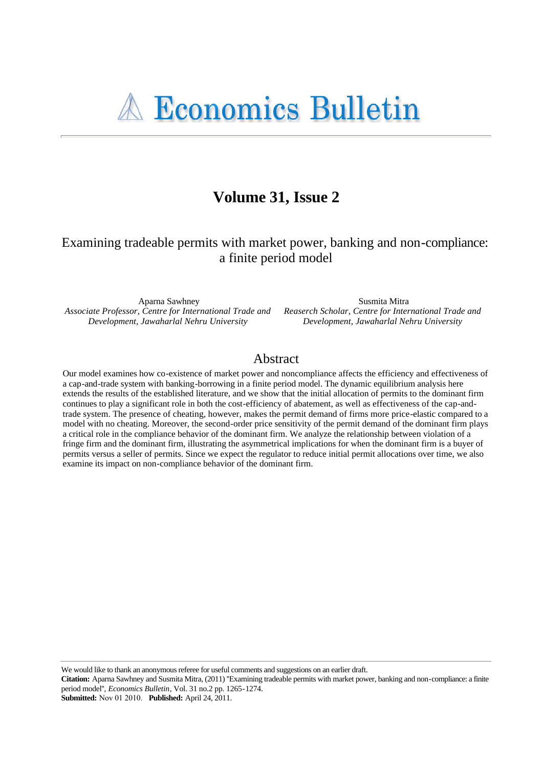# Volume 31, Issue 2

## Examining tradeable permits with market power, banking and non-compliance: a finite period model

Aparna Sawhney Associate Professor, Centre for International Trade and Development, Jawaharlal Nehru University

Susmita Mitra Reaserch Scholar, Centre for International Trade and Development, Jawaharlal Nehru University

## Abstract

Our model examines how co-existence of market power and noncompliance affects the efficiency and effectiveness of a cap-and-trade system with banking-borrowing in a finite period model. The dynamic equilibrium analysis here extends the results of the established literature, and we show that the initial allocation of permits to the dominant firm continues to play a significant role in both the cost-efficiency of abatement, as well as effectiveness of the cap-andtrade system. The presence of cheating, however, makes the permit demand of firms more price-elastic compared to a model with no cheating. Moreover, the second-order price sensitivity of the permit demand of the dominant firm plays a critical role in the compliance behavior of the dominant firm. We analyze the relationship between violation of a fringe firm and the dominant firm, illustrating the asymmetrical implications for when the dominant firm is a buyer of permits versus a seller of permits. Since we expect the regulator to reduce initial permit allocations over time, we also examine its impact on non-compliance behavior of the dominant firm.

We would like to thank an anonymous referee for useful comments and suggestions on an earlier draft.

Citation: Aparna Sawhney and Susmita Mitra, (2011) "Examining tradeable permits with market power, banking and non-compliance: a finite period model", *Economics Bulletin*, Vol. 31 no.2 pp. 1265-1274.

**Submitted:** Nov 01 2010. **Published:** April 24, 2011.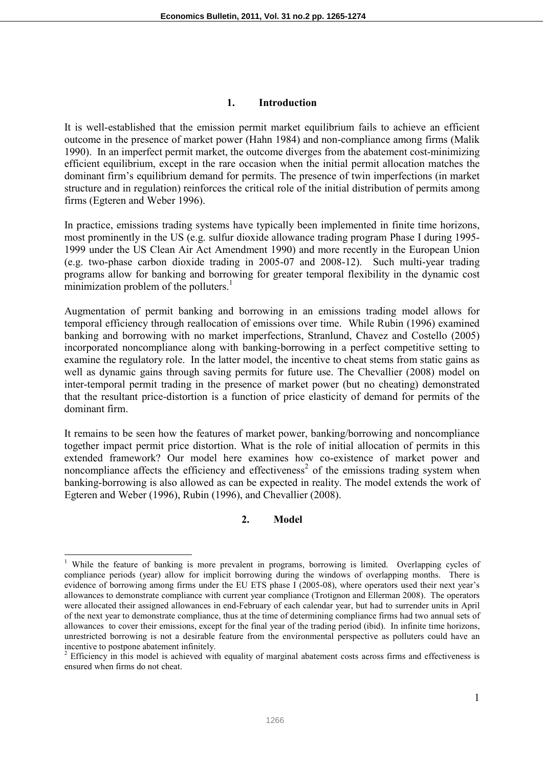#### **1. Introduction**

It is well-established that the emission permit market equilibrium fails to achieve an efficient outcome in the presence of market power (Hahn 1984) and non-compliance among firms (Malik 1990). In an imperfect permit market, the outcome diverges from the abatement cost-minimizing efficient equilibrium, except in the rare occasion when the initial permit allocation matches the dominant firm's equilibrium demand for permits. The presence of twin imperfections (in market structure and in regulation) reinforces the critical role of the initial distribution of permits among firms (Egteren and Weber 1996).

In practice, emissions trading systems have typically been implemented in finite time horizons, most prominently in the US (e.g. sulfur dioxide allowance trading program Phase I during 1995- 1999 under the US Clean Air Act Amendment 1990) and more recently in the European Union (e.g. two-phase carbon dioxide trading in 2005-07 and 2008-12). Such multi-year trading programs allow for banking and borrowing for greater temporal flexibility in the dynamic cost minimization problem of the polluters. $<sup>1</sup>$ </sup>

Augmentation of permit banking and borrowing in an emissions trading model allows for temporal efficiency through reallocation of emissions over time. While Rubin (1996) examined banking and borrowing with no market imperfections, Stranlund, Chavez and Costello (2005) incorporated noncompliance along with banking-borrowing in a perfect competitive setting to examine the regulatory role. In the latter model, the incentive to cheat stems from static gains as well as dynamic gains through saving permits for future use. The Chevallier (2008) model on inter-temporal permit trading in the presence of market power (but no cheating) demonstrated that the resultant price-distortion is a function of price elasticity of demand for permits of the dominant firm.

It remains to be seen how the features of market power, banking/borrowing and noncompliance together impact permit price distortion. What is the role of initial allocation of permits in this extended framework? Our model here examines how co-existence of market power and noncompliance affects the efficiency and effectiveness<sup>2</sup> of the emissions trading system when banking-borrowing is also allowed as can be expected in reality. The model extends the work of Egteren and Weber (1996), Rubin (1996), and Chevallier (2008).

#### **2. Model**

 $\overline{a}$ <sup>1</sup> While the feature of banking is more prevalent in programs, borrowing is limited. Overlapping cycles of compliance periods (year) allow for implicit borrowing during the windows of overlapping months. There is evidence of borrowing among firms under the EU ETS phase I (2005-08), where operators used their next year's allowances to demonstrate compliance with current year compliance (Trotignon and Ellerman 2008). The operators were allocated their assigned allowances in end-February of each calendar year, but had to surrender units in April of the next year to demonstrate compliance, thus at the time of determining compliance firms had two annual sets of allowances to cover their emissions, except for the final year of the trading period (ibid). In infinite time horizons, unrestricted borrowing is not a desirable feature from the environmental perspective as polluters could have an incentive to postpone abatement infinitely.

 $2$  Efficiency in this model is achieved with equality of marginal abatement costs across firms and effectiveness is ensured when firms do not cheat.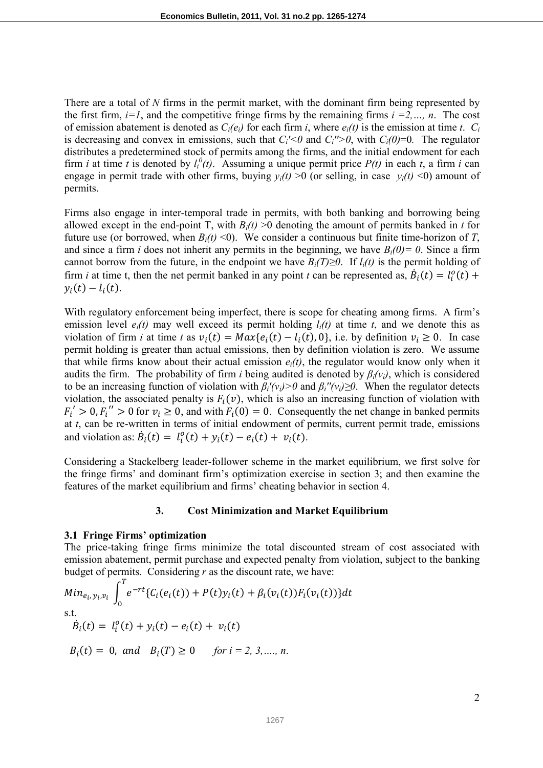There are a total of *N* firms in the permit market, with the dominant firm being represented by the first firm,  $i=1$ , and the competitive fringe firms by the remaining firms  $i=2,\dots, n$ . The cost of emission abatement is denoted as  $C_i(e_i)$  for each firm *i*, where  $e_i(t)$  is the emission at time *t*.  $C_i$ is decreasing and convex in emissions, such that  $C_i$ '<0 and  $C_i$ ''>0, with  $C_i$ (0)=0. The regulator distributes a predetermined stock of permits among the firms, and the initial endowment for each firm *i* at time *t* is denoted by  $l_i^0(t)$ . Assuming a unique permit price  $P(t)$  in each *t*, a firm *i* can engage in permit trade with other firms, buying  $y_i(t) > 0$  (or selling, in case  $y_i(t) < 0$ ) amount of permits.

Firms also engage in inter-temporal trade in permits, with both banking and borrowing being allowed except in the end-point T, with  $B_i(t) > 0$  denoting the amount of permits banked in *t* for future use (or borrowed, when *Bi(t)* <0). We consider a continuous but finite time-horizon of *T*, and since a firm *i* does not inherit any permits in the beginning, we have  $B_i(0) = 0$ . Since a firm cannot borrow from the future, in the endpoint we have  $B_i(T) \ge 0$ . If  $l_i(t)$  is the permit holding of firm *i* at time t, then the net permit banked in any point *t* can be represented as,  $\dot{B}_i(t) = l_i^o(t) + l_i^o(t)$  $y_i(t) - l_i(t)$ .

With regulatory enforcement being imperfect, there is scope for cheating among firms. A firm's emission level  $e_i(t)$  may well exceed its permit holding  $l_i(t)$  at time *t*, and we denote this as violation of firm *i* at time *t* as  $v_i(t) = Max{e_i(t) - l_i(t), 0}$ , i.e. by definition  $v_i \ge 0$ . In case permit holding is greater than actual emissions, then by definition violation is zero. We assume that while firms know about their actual emission  $e_i(t)$ , the regulator would know only when it audits the firm. The probability of firm *i* being audited is denoted by  $\beta_i(v_i)$ , which is considered to be an increasing function of violation with  $\beta_i'(v_i) > 0$  and  $\beta_i''(v_i) \ge 0$ . When the regulator detects violation, the associated penalty is  $F_i(v)$ , which is also an increasing function of violation with  $F_i' > 0, F_i'' > 0$  for  $v_i \ge 0$ , and with  $F_i(0) = 0$ . Consequently the net change in banked permits at *t*, can be re-written in terms of initial endowment of permits, current permit trade, emissions and violation as:  $\dot{B}_i(t) = l_i^o(t) + y_i(t) - e_i(t) + v_i(t)$ .

Considering a Stackelberg leader-follower scheme in the market equilibrium, we first solve for the fringe firms' and dominant firm's optimization exercise in section 3; and then examine the features of the market equilibrium and firms' cheating behavior in section 4.

#### **3. Cost Minimization and Market Equilibrium**

#### **3.1 Fringe Firms' optimization**

The price-taking fringe firms minimize the total discounted stream of cost associated with emission abatement, permit purchase and expected penalty from violation, subject to the banking budget of permits. Considering *r* as the discount rate, we have:

$$
Min_{e_i, y_i, v_i} \int_0^T e^{-rt} \{C_i(e_i(t)) + P(t)y_i(t) + \beta_i(v_i(t))F_i(v_i(t))\} dt
$$
  
s.t.  

$$
\dot{B}_i(t) = l_i^o(t) + y_i(t) - e_i(t) + v_i(t)
$$
  

$$
B_i(t) = 0, \text{ and } B_i(T) \ge 0 \quad \text{for } i = 2, 3, ..., n.
$$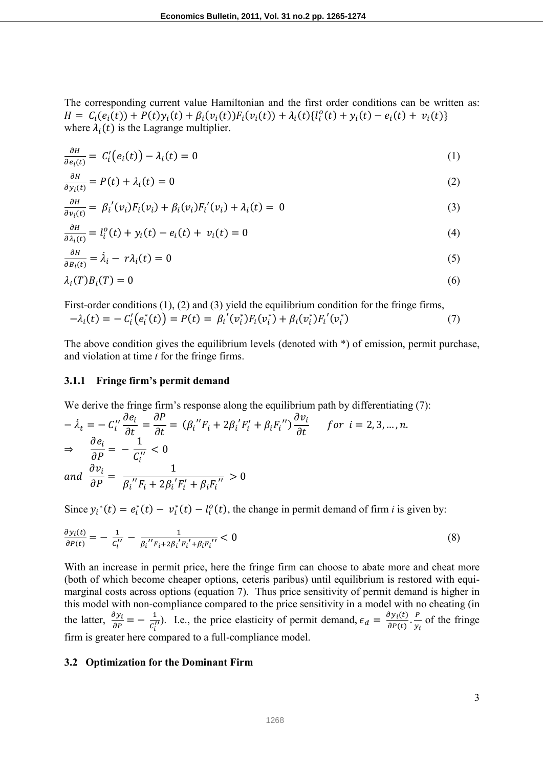The corresponding current value Hamiltonian and the first order conditions can be written as:  $H = C_i(e_i(t)) + P(t)y_i(t) + \beta_i(v_i(t))F_i(v_i(t)) + \lambda_i(t)\{l_i^o(t) + y_i(t) - e_i(t) + v_i(t)\}$ where  $\lambda_i(t)$  is the Lagrange multiplier.

$$
\frac{\partial H}{\partial e_i(t)} = C'_i \big( e_i(t) \big) - \lambda_i(t) = 0 \tag{1}
$$

$$
\frac{\partial H}{\partial y_i(t)} = P(t) + \lambda_i(t) = 0
$$
\n(2)

$$
\frac{\partial H}{\partial v_i(t)} = \beta_i'(v_i) F_i(v_i) + \beta_i(v_i) F_i'(v_i) + \lambda_i(t) = 0
$$
\n(3)

$$
\frac{\partial H}{\partial \lambda_i(t)} = l_i^o(t) + y_i(t) - e_i(t) + v_i(t) = 0
$$
\n(4)

$$
\frac{\partial H}{\partial B_i(t)} = \dot{\lambda}_i - r\lambda_i(t) = 0
$$
\n(5)

$$
\lambda_i(T)B_i(T) = 0 \tag{6}
$$

First-order conditions (1), (2) and (3) yield the equilibrium condition for the fringe firms,  $-\lambda_i(t) = -C'_i(e_i^*(t)) = P(t) = \beta_i'(v_i^*)F_i(v_i^*) + \beta_i(v_i^*)F_i'(v_i^*)$  $(7)$ 

The above condition gives the equilibrium levels (denoted with \*) of emission, permit purchase, and violation at time *t* for the fringe firms.

#### **3.1.1 Fringe firm's permit demand**

We derive the fringe firm's response along the equilibrium path by differentiating (7):

$$
-\lambda_t = -C_i' \frac{\partial e_i}{\partial t} = \frac{\partial P}{\partial t} = (\beta_i'' F_i + 2\beta_i' F_i' + \beta_i F_i'') \frac{\partial v_i}{\partial t} \quad \text{for } i = 2, 3, ..., n.
$$
  
\n
$$
\Rightarrow \frac{\partial e_i}{\partial P} = -\frac{1}{C_i''} < 0
$$
  
\nand 
$$
\frac{\partial v_i}{\partial P} = \frac{1}{\beta_i'' F_i + 2\beta_i' F_i' + \beta_i F_i''} > 0
$$

Since  $y_i^*(t) = e_i^*(t) - v_i^*(t) - l_i^0(t)$ , the change in permit demand of firm *i* is given by:

$$
\frac{\partial y_i(t)}{\partial P(t)} = -\frac{1}{c_i''} - \frac{1}{\beta_i'' F_i + 2\beta_i' F_i' + \beta_i F_i''} < 0
$$
\n(8)

With an increase in permit price, here the fringe firm can choose to abate more and cheat more (both of which become cheaper options, ceteris paribus) until equilibrium is restored with equimarginal costs across options (equation 7). Thus price sensitivity of permit demand is higher in this model with non-compliance compared to the price sensitivity in a model with no cheating (in the latter,  $\frac{\partial y_i}{\partial P} = -\frac{1}{c_i'}$  $\frac{1}{c_i^{(t)}}$ ). I.e., the price elasticity of permit demand,  $\epsilon_d = \frac{\partial y_i(t)}{\partial P(t)} \cdot \frac{P}{y_i}$  $\frac{1}{y_i}$  of the fringe firm is greater here compared to a full-compliance model.

#### **3.2 Optimization for the Dominant Firm**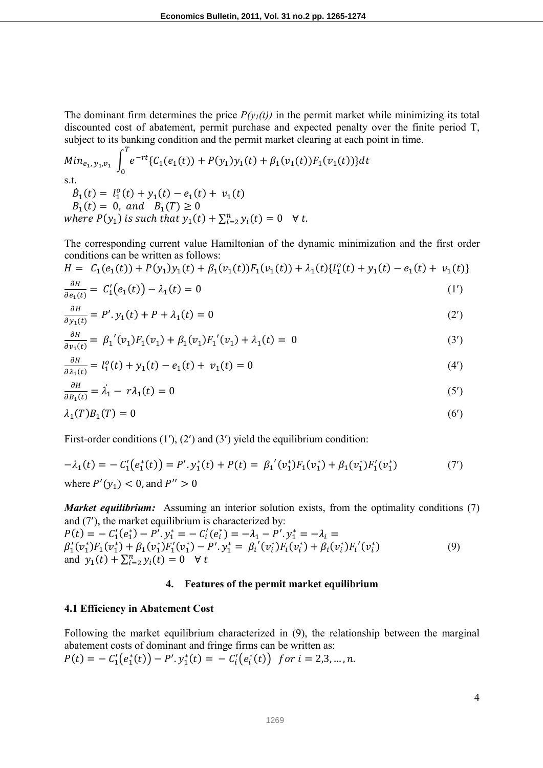The dominant firm determines the price  $P(y_1(t))$  in the permit market while minimizing its total discounted cost of abatement, permit purchase and expected penalty over the finite period T, subject to its banking condition and the permit market clearing at each point in time.

Min<sub>e<sub>1</sub>, y<sub>1</sub>,y<sub>1</sub></sub> 
$$
\int_0^T e^{-rt} \{C_1(e_1(t)) + P(y_1)y_1(t) + \beta_1(v_1(t))F_1(v_1(t))\} dt
$$
  
s.t.  
\n $\dot{B}_1(t) = l_1^o(t) + y_1(t) - e_1(t) + v_1(t)$   
\n $B_1(t) = 0$ , and  $B_1(T) \ge 0$   
\nwhere  $P(y_1)$  is such that  $y_1(t) + \sum_{i=2}^n y_i(t) = 0 \quad \forall t$ .

The corresponding current value Hamiltonian of the dynamic minimization and the first order conditions can be written as follows:

$$
H = C_1(e_1(t)) + P(y_1)y_1(t) + \beta_1(v_1(t))F_1(v_1(t)) + \lambda_1(t)\{\ell_1^o(t) + y_1(t) - e_1(t) + v_1(t)\}\
$$
  
\n
$$
\frac{\partial H}{\partial t} = C'(e_1(t)) - \lambda_1(t) = 0
$$

$$
\frac{\partial H}{\partial e_1(t)} = C_1'(e_1(t)) - \lambda_1(t) = 0 \tag{1'}
$$

$$
\frac{\partial H}{\partial y_1(t)} = P'.y_1(t) + P + \lambda_1(t) = 0
$$
\n<sup>(2')</sup>

$$
\frac{\partial H}{\partial v_1(t)} = \beta_1'(v_1)F_1(v_1) + \beta_1(v_1)F_1'(v_1) + \lambda_1(t) = 0
$$
\n(3')

$$
\frac{\partial H}{\partial \lambda_1(t)} = l_1^o(t) + y_1(t) - e_1(t) + v_1(t) = 0 \tag{4'}
$$

$$
\frac{\partial H}{\partial B_1(t)} = \dot{\lambda}_1 - r\lambda_1(t) = 0 \tag{5'}
$$

$$
\lambda_1(T)B_1(T) = 0 \tag{6'}
$$

First-order conditions (1'), (2') and (3') yield the equilibrium condition:

$$
-\lambda_1(t) = -C_1'(e_1^*(t)) = P'.y_1^*(t) + P(t) = \beta_1'(v_1^*)F_1(v_1^*) + \beta_1(v_1^*)F_1'(v_1^*)
$$
\n(7')

\nwhere  $P'(y_1) < 0$ , and  $P'' > 0$ 

*Market equilibrium:* Assuming an interior solution exists, from the optimality conditions (7) and (7′), the market equilibrium is characterized by:

 $P(t) = -C_1'(e_1^*) - P'.y_1^* = -C_i'(e_i^*) = -\lambda_1 - P'.y_1^* = -\lambda_i =$  $\beta'_1(v_1^*)F_1(v_1^*) + \beta_1(v_1^*)F'_1(v_1^*) - P'.y_1^* = \beta_i'(v_i^*)F_i(v_i^*) + \beta_i(v_i^*)F'_i(v_i^*)$  (9) and  $y_1(t) + \sum_{i=2}^n y_i(t) = 0 \quad \forall t$ 

#### **4. Features of the permit market equilibrium**

#### **4.1 Efficiency in Abatement Cost**

Following the market equilibrium characterized in (9), the relationship between the marginal abatement costs of dominant and fringe firms can be written as:  $P(t) = -C'_1(e_1^*(t)) - P'.y_1^*(t) = -C'_i(e_i^*(t))$  for  $i = 2,3,...,n$ .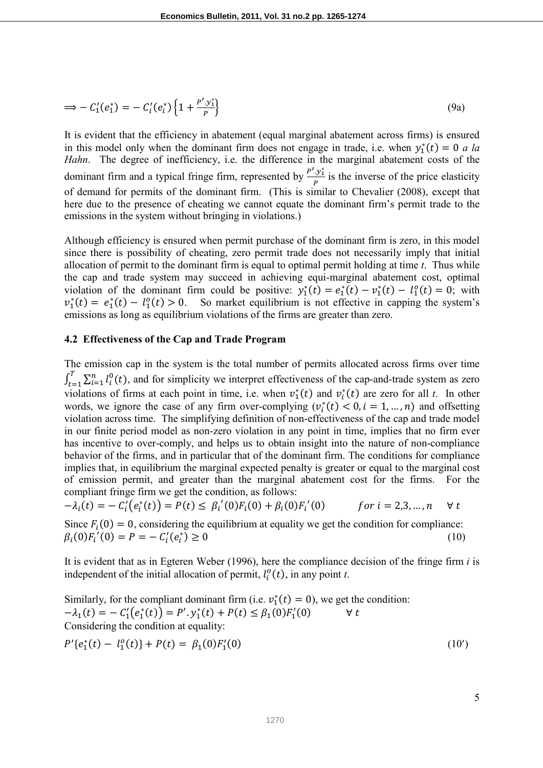$$
\Rightarrow -C_1'(e_1^*) = -C_i'(e_i^*) \left\{ 1 + \frac{P' \cdot y_1^*}{P} \right\} \tag{9a}
$$

It is evident that the efficiency in abatement (equal marginal abatement across firms) is ensured in this model only when the dominant firm does not engage in trade, i.e. when  $y_1^*(t) = 0$  *a la Hahn*. The degree of inefficiency, i.e. the difference in the marginal abatement costs of the dominant firm and a typical fringe firm, represented by  $\frac{P' \cdot y_i^*}{P}$  $\frac{y_1}{P}$  is the inverse of the price elasticity of demand for permits of the dominant firm. (This is similar to Chevalier (2008), except that here due to the presence of cheating we cannot equate the dominant firm's permit trade to the emissions in the system without bringing in violations.)

Although efficiency is ensured when permit purchase of the dominant firm is zero, in this model since there is possibility of cheating, zero permit trade does not necessarily imply that initial allocation of permit to the dominant firm is equal to optimal permit holding at time *t*. Thus while the cap and trade system may succeed in achieving equi-marginal abatement cost, optimal violation of the dominant firm could be positive:  $y_1^*(t) = e_1^*(t) - v_1^*(t) - l_1^o(t) = 0$ ; with  $v_1^*(t) = e_1^*(t) - l_1^o(t) > 0$ . So market equilibrium is not effective in capping the system's emissions as long as equilibrium violations of the firms are greater than zero.

#### **4.2 Effectiveness of the Cap and Trade Program**

The emission cap in the system is the total number of permits allocated across firms over time  $\int_{t=1}^{1} \sum_{i=1}^{n} l_i^0(t)$  $\sum_{t=1}^{T} \sum_{i=1}^{n} l_i^0(t)$ , and for simplicity we interpret effectiveness of the cap-and-trade system as zero violations of firms at each point in time, i.e. when  $v_1^*(t)$  and  $v_i^*(t)$  are zero for all *t*. In other words, we ignore the case of any firm over-complying  $(v_i^*(t) < 0, i = 1, ..., n)$  and offsetting violation across time. The simplifying definition of non-effectiveness of the cap and trade model in our finite period model as non-zero violation in any point in time, implies that no firm ever has incentive to over-comply, and helps us to obtain insight into the nature of non-compliance behavior of the firms, and in particular that of the dominant firm. The conditions for compliance implies that, in equilibrium the marginal expected penalty is greater or equal to the marginal cost of emission permit, and greater than the marginal abatement cost for the firms. For the compliant fringe firm we get the condition, as follows:

$$
-\lambda_i(t) = -C_i'(e_i^*(t)) = P(t) \le \beta_i'(0)F_i(0) + \beta_i(0)F_i'(0) \qquad \text{for } i = 2,3,\dots, n \quad \forall t
$$

Since  $F_i(0) = 0$ , considering the equilibrium at equality we get the condition for compliance:  $\beta_i(0)F'_i(0) = P = -C'_i(e_i^*)$  $) \ge 0$  (10)

It is evident that as in Egteren Weber (1996), here the compliance decision of the fringe firm *i* is independent of the initial allocation of permit,  $l_i^o(t)$ , in any point *t*.

Similarly, for the compliant dominant firm (i.e.  $v_1^*(t) = 0$ ), we get the condition:  $-\lambda_1(t) = -C'_1(e_1^*(t)) = P'.y_1^*(t) + P(t) \leq \beta_1(0)F'_1(0)$   $\forall t$ Considering the condition at equality:

$$
P'\{e_1^*(t) - l_1^o(t)\} + P(t) = \beta_1(0)F_1'(0)
$$
\n(10')

5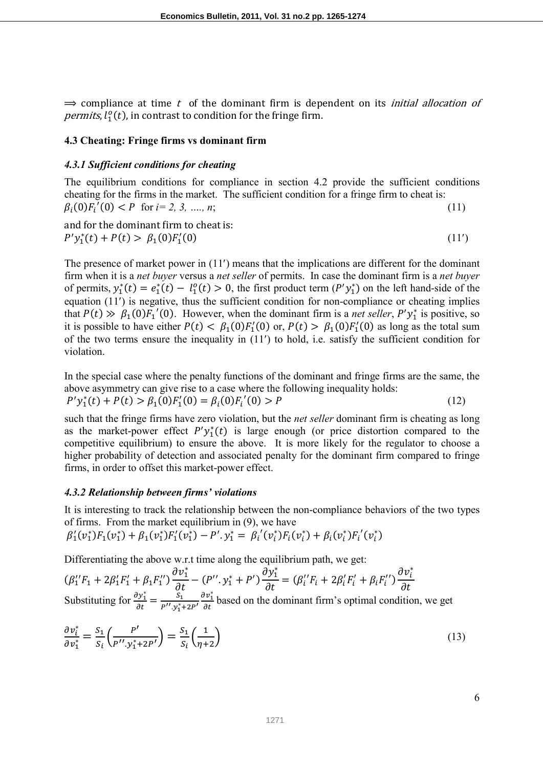$\Rightarrow$  compliance at time t of the dominant firm is dependent on its *initial allocation of permits*,  $l_1^o(t)$ , in contrast to condition for the fringe firm.

## **4.3 Cheating: Fringe firms vs dominant firm**

## *4.3.1 Sufficient conditions for cheating*

The equilibrium conditions for compliance in section 4.2 provide the sufficient conditions cheating for the firms in the market. The sufficient condition for a fringe firm to cheat is:  $\beta_i(0)F_i'(0) < P$  for  $i= 2, 3, ..., n;$  (11)

and for the dominant firm to cheat is:

 $P'y_1^*(t) + P(t) > \beta_1(0)F_1'$ (0)  $(11')$ 

The presence of market power in (11′) means that the implications are different for the dominant firm when it is a *net buyer* versus a *net seller* of permits. In case the dominant firm is a *net buyer* of permits,  $y_1^*(t) = e_1^*(t) - l_1^o(t) > 0$ , the first product term  $(P'y_1^*)$  on the left hand-side of the equation (11′) is negative, thus the sufficient condition for non-compliance or cheating implies that  $P(t) \gg \beta_1(0) F_1'(0)$ . However, when the dominant firm is a *net seller*,  $P'y_1^*$  is positive, so it is possible to have either  $P(t) < \beta_1(0)F'_1(0)$  or,  $P(t) > \beta_1(0)F'_1(0)$  as long as the total sum of the two terms ensure the inequality in (11′) to hold, i.e. satisfy the sufficient condition for violation.

In the special case where the penalty functions of the dominant and fringe firms are the same, the above asymmetry can give rise to a case where the following inequality holds:  $P'y_1^*(t) + P(t) > \beta_1(0)F_1'(0) = \beta_i(0)F_i'(0) > P$  (12)

such that the fringe firms have zero violation, but the *net seller* dominant firm is cheating as long as the market-power effect  $P'y_1^*(t)$  is large enough (or price distortion compared to the competitive equilibrium) to ensure the above. It is more likely for the regulator to choose a higher probability of detection and associated penalty for the dominant firm compared to fringe firms, in order to offset this market-power effect.

## *4.3.2 Relationship between firms' violations*

It is interesting to track the relationship between the non-compliance behaviors of the two types of firms. From the market equilibrium in (9), we have

$$
\beta_1'(v_1^*)F_1(v_1^*) + \beta_1(v_1^*)F_1'(v_1^*) - P'.y_1^* = \beta_i'(v_i^*)F_i(v_i^*) + \beta_i(v_i^*)F_i'(v_i^*)
$$

Differentiating the above w.r.t time along the equilibrium path, we get:

$$
(\beta_1''F_1 + 2\beta_1'F_1' + \beta_1F_1'')\frac{\partial v_1^*}{\partial t} - (P'', y_1^* + P')\frac{\partial y_1^*}{\partial t} = (\beta_i''F_i + 2\beta_i'F_i' + \beta_iF_i'')\frac{\partial v_i^*}{\partial t}
$$
  
Substituting for  $\frac{\partial y_1^*}{\partial t} = \frac{S_1}{P'', y_1^* + 2P'}$   $\frac{\partial v_1^*}{\partial t}$  based on the dominant firm's optimal condition, we get

$$
\frac{\partial v_i^*}{\partial v_1^*} = \frac{S_1}{S_i} \left( \frac{P'}{P'', y_1^* + 2P'} \right) = \frac{S_1}{S_i} \left( \frac{1}{\eta + 2} \right) \tag{13}
$$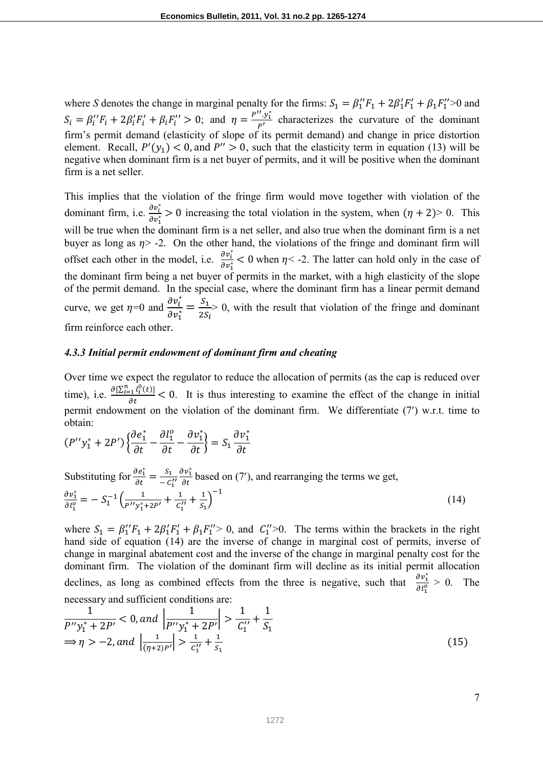where *S* denotes the change in marginal penalty for the firms:  $S_1 = \beta_1'' F_1 + 2\beta_1' F_1' + \beta_1 F_1'' > 0$  and  $S_i = \beta_i'' F_i + 2\beta_i' F_i' + \beta_i F_i'' > 0$ ; and  $\eta = \frac{P'' \cdot y_i^*}{P'}$  $\frac{y_1}{P'}$  characterizes the curvature of the dominant firm's permit demand (elasticity of slope of its permit demand) and change in price distortion element. Recall,  $P'(y_1) < 0$ , and  $P'' > 0$ , such that the elasticity term in equation (13) will be negative when dominant firm is a net buyer of permits, and it will be positive when the dominant firm is a net seller.

This implies that the violation of the fringe firm would move together with violation of the dominant firm, i.e.  $\frac{\partial v_i^*}{\partial x^*}$  $\frac{\partial v_i}{\partial r_1} > 0$  increasing the total violation in the system, when  $(\eta + 2) > 0$ . This will be true when the dominant firm is a net seller, and also true when the dominant firm is a net buyer as long as  $\eta$  > -2. On the other hand, the violations of the fringe and dominant firm will offset each other in the model, i.e.  $\frac{\partial v_i^*}{\partial x_i^*}$  $\frac{\partial v_i}{\partial v_1^*}$  < 0 when  $\eta$  < -2. The latter can hold only in the case of the dominant firm being a net buyer of permits in the market, with a high elasticity of the slope of the permit demand. In the special case, where the dominant firm has a linear permit demand curve, we get  $\eta=0$  and  $\frac{\partial v_i^*}{\partial x^*}$  $\frac{\partial v_i^*}{\partial v_1^*} = \frac{S_1}{2S}$  $2S_i$  $> 0$ , with the result that violation of the fringe and dominant firm reinforce each other.

#### *4.3.3 Initial permit endowment of dominant firm and cheating*

Over time we expect the regulator to reduce the allocation of permits (as the cap is reduced over time), i.e.  $\frac{\partial [\sum_{i=1}^{n} l_i^0(t)]}{\partial t} < 0$ . It is thus interesting to examine the effect of the change in initial permit endowment on the violation of the dominant firm. We differentiate (7′) w.r.t. time to obtain:

$$
(P''y_1^* + 2P')\left\{\frac{\partial e_1^*}{\partial t} - \frac{\partial l_1^o}{\partial t} - \frac{\partial v_1^*}{\partial t}\right\} = S_1 \frac{\partial v_1^*}{\partial t}
$$

Substituting for  $\frac{\partial e_1^*}{\partial t} = \frac{S_1}{-C}$  $\frac{S_1}{-C_1'} \frac{\partial v_1^*}{\partial t}$  based on (7'), and rearranging the terms we get,  $\partial v_1^*$  $\frac{\partial v_1^2}{\partial l_1^0} = -S_1^{-1} \Big( \frac{1}{p'' y_1^*}$  $\frac{1}{P''y_1^*+2P'}+\frac{1}{C_1'}$  $\frac{1}{c''_1} + \frac{1}{s_1}$  $\frac{1}{s_1}$  $-1$ (14)

where  $S_1 = \beta_1'' F_1 + 2\beta_1' F_1' + \beta_1 F_1'' > 0$ , and  $C_1'' > 0$ . The terms within the brackets in the right hand side of equation (14) are the inverse of change in marginal cost of permits, inverse of change in marginal abatement cost and the inverse of the change in marginal penalty cost for the dominant firm. The violation of the dominant firm will decline as its initial permit allocation declines, as long as combined effects from the three is negative, such that  $\frac{\partial v_1^*}{\partial y_2^*}$  $\frac{\partial v_1}{\partial l_1^0} > 0$ . The necessary and sufficient conditions are:

$$
\frac{1}{P''y_1^* + 2P'} < 0, \text{ and } \left| \frac{1}{P''y_1^* + 2P'} \right| > \frac{1}{C_1''} + \frac{1}{S_1}
$$
\n
$$
\Rightarrow \eta > -2, \text{ and } \left| \frac{1}{(\eta + 2)P'} \right| > \frac{1}{C_1''} + \frac{1}{S_1}
$$
\n(15)

7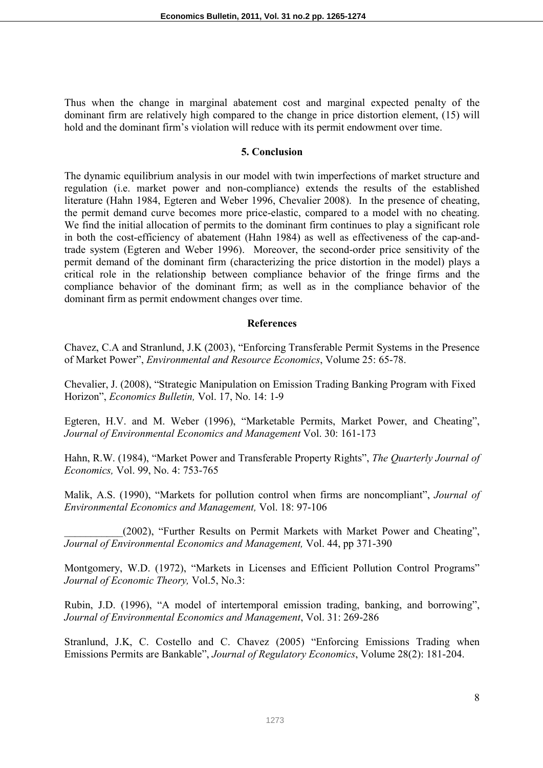Thus when the change in marginal abatement cost and marginal expected penalty of the dominant firm are relatively high compared to the change in price distortion element, (15) will hold and the dominant firm's violation will reduce with its permit endowment over time.

#### **5. Conclusion**

The dynamic equilibrium analysis in our model with twin imperfections of market structure and regulation (i.e. market power and non-compliance) extends the results of the established literature (Hahn 1984, Egteren and Weber 1996, Chevalier 2008). In the presence of cheating, the permit demand curve becomes more price-elastic, compared to a model with no cheating. We find the initial allocation of permits to the dominant firm continues to play a significant role in both the cost-efficiency of abatement (Hahn 1984) as well as effectiveness of the cap-andtrade system (Egteren and Weber 1996). Moreover, the second-order price sensitivity of the permit demand of the dominant firm (characterizing the price distortion in the model) plays a critical role in the relationship between compliance behavior of the fringe firms and the compliance behavior of the dominant firm; as well as in the compliance behavior of the dominant firm as permit endowment changes over time.

### **References**

Chavez, C.A and Stranlund, J.K (2003), "Enforcing Transferable Permit Systems in the Presence of Market Power", *Environmental and Resource Economics*, Volume 25: 65-78.

Chevalier, J. (2008), "Strategic Manipulation on Emission Trading Banking Program with Fixed Horizon", *Economics Bulletin,* Vol. 17, No. 14: 1-9

Egteren, H.V. and M. Weber (1996), "Marketable Permits, Market Power, and Cheating", *Journal of Environmental Economics and Management* Vol. 30: 161-173

Hahn, R.W. (1984), "Market Power and Transferable Property Rights", *The Quarterly Journal of Economics,* Vol. 99, No. 4: 753-765

Malik, A.S. (1990), "Markets for pollution control when firms are noncompliant", *Journal of Environmental Economics and Management,* Vol. 18: 97-106

(2002), "Further Results on Permit Markets with Market Power and Cheating", *Journal of Environmental Economics and Management,* Vol. 44, pp 371-390

Montgomery, W.D. (1972), "Markets in Licenses and Efficient Pollution Control Programs" *Journal of Economic Theory,* Vol.5, No.3:

Rubin, J.D. (1996), "A model of intertemporal emission trading, banking, and borrowing", *Journal of Environmental Economics and Management*, Vol. 31: 269-286

Stranlund, J.K, C. Costello and C. Chavez (2005) "Enforcing Emissions Trading when Emissions Permits are Bankable", *Journal of Regulatory Economics*, Volume 28(2): 181-204.